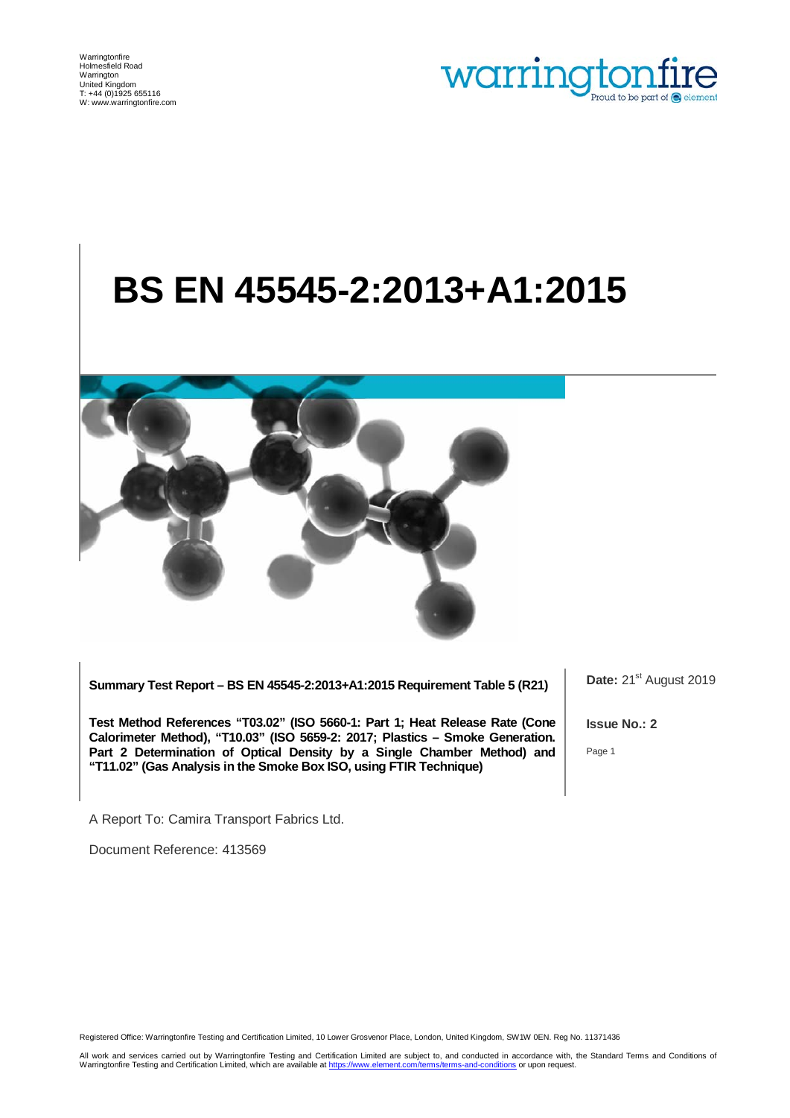

# **BS EN 45545-2:2013+A1:2015**



**Summary Test Report – BS EN 45545-2:2013+A1:2015 Requirement Table 5 (R21)**

**Test Method References "T03.02" (ISO 5660-1: Part 1; Heat Release Rate (Cone Calorimeter Method), "T10.03" (ISO 5659-2: 2017; Plastics – Smoke Generation. Part 2 Determination of Optical Density by a Single Chamber Method) and "T11.02" (Gas Analysis in the Smoke Box ISO, using FTIR Technique)**

Date: 21<sup>st</sup> August 2019

**Issue No.: 2**

Page 1

A Report To: Camira Transport Fabrics Ltd.

Document Reference: 413569

Registered Office: Warringtonfire Testing and Certification Limited, 10 Lower Grosvenor Place, London, United Kingdom, SW1W 0EN. Reg No. 11371436

All work and services carried out by Warringtonfire Testing and Certification Limited are subject to, and conducted in accordance with, the Standard Terms and Conditions of Warringtonfire Testing and Certification Limited, which are available a[t https://www.element.com/terms/terms-and-conditions](https://www.element.com/terms/terms-and-conditions) or upon request.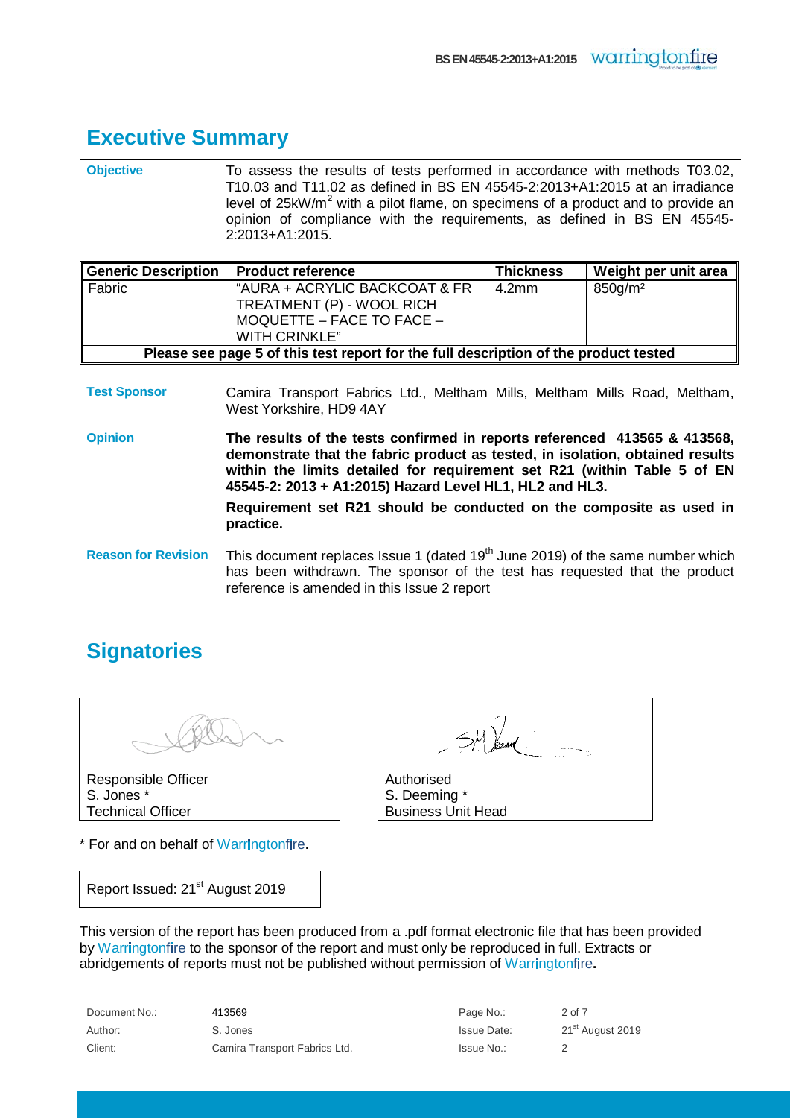#### <span id="page-1-0"></span>**Executive Summary**

**Objective** To assess the results of tests performed in accordance with methods T03.02, T10.03 and T11.02 as defined in BS EN 45545-2:2013+A1:2015 at an irradiance level of  $25kW/m^2$  with a pilot flame, on specimens of a product and to provide an opinion of compliance with the requirements, as defined in BS EN 45545- 2:2013+A1:2015.

| <b>Generic Description</b>                                                           | <b>Product reference</b>                                   | <b>Thickness</b> | Weight per unit area   |
|--------------------------------------------------------------------------------------|------------------------------------------------------------|------------------|------------------------|
| Fabric                                                                               | "AURA + ACRYLIC BACKCOAT & FR<br>TREATMENT (P) - WOOL RICH | 4.2mm            | $850$ g/m <sup>2</sup> |
|                                                                                      | MOQUETTE - FACE TO FACE -                                  |                  |                        |
|                                                                                      | WITH CRINKLE"                                              |                  |                        |
| Please see page 5 of this test report for the full description of the product tested |                                                            |                  |                        |

- **Test Sponsor** Camira Transport Fabrics Ltd., Meltham Mills, Meltham Mills Road, Meltham, West Yorkshire, HD9 4AY
- **Opinion The results of the tests confirmed in reports referenced 413565 & 413568, demonstrate that the fabric product as tested, in isolation, obtained results within the limits detailed for requirement set R21 (within Table 5 of EN 45545-2: 2013 + A1:2015) Hazard Level HL1, HL2 and HL3.**

**Requirement set R21 should be conducted on the composite as used in practice.**

Reason for Revision This document replaces Issue 1 (dated 19<sup>th</sup> June 2019) of the same number which has been withdrawn. The sponsor of the test has requested that the product reference is amended in this Issue 2 report

## <span id="page-1-1"></span>**Signatories**



S. Jones \* Technical Officer

\* For and on behalf of Warringtonfire.

Authorised S. Deeming \* Business Unit Head

Report Issued: 21<sup>st</sup> August 2019

This version of the report has been produced from a .pdf format electronic file that has been provided by Warringtonfire to the sponsor of the report and must only be reproduced in full. Extracts or abridgements of reports must not be published without permission of Warringtonfire.

| Document No.: | 413569                        | Page No.:          | 2 of 7                       |
|---------------|-------------------------------|--------------------|------------------------------|
| Author:       | S. Jones                      | <b>Issue Date:</b> | 21 <sup>st</sup> August 2019 |
| Client:       | Camira Transport Fabrics Ltd. | Issue No.:         |                              |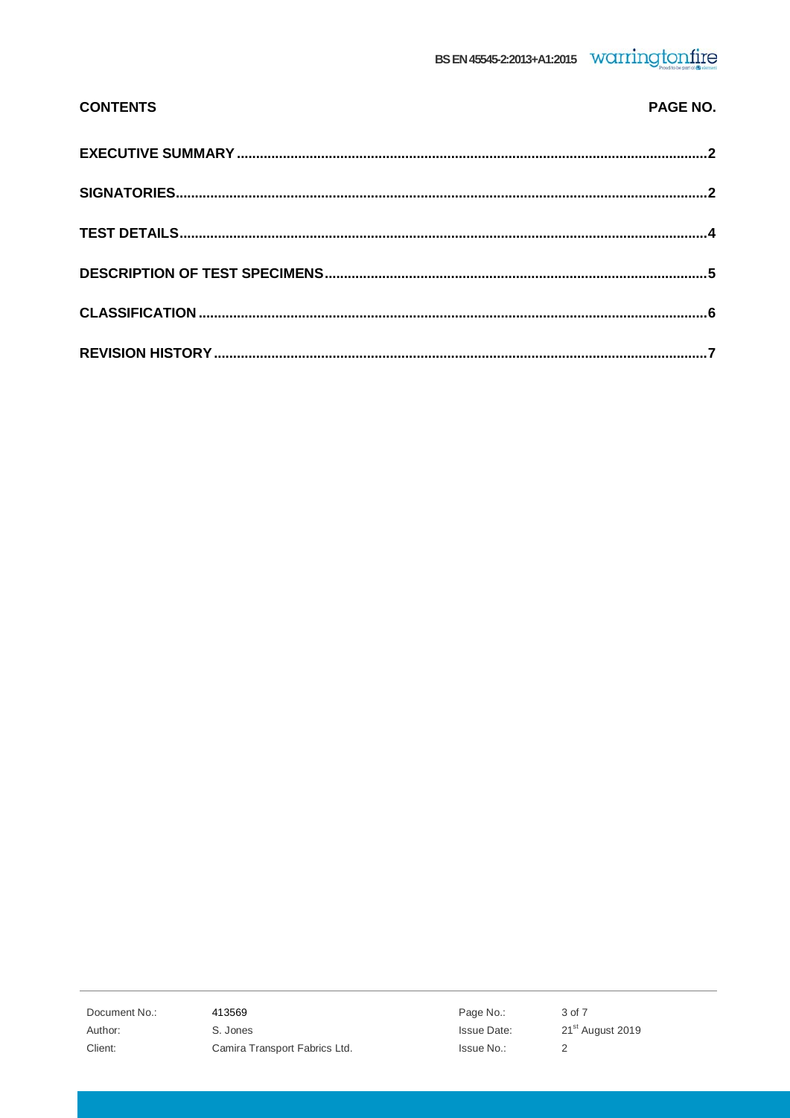| <b>CONTENTS</b> | PAGE NO. |
|-----------------|----------|
|                 |          |
|                 |          |
|                 |          |
|                 |          |
|                 |          |
|                 |          |

413569 S. Jones Camira Transport Fabrics Ltd.

Page No.: Issue Date: Issue No.:

3 of 7 21st August 2019  $\sqrt{2}$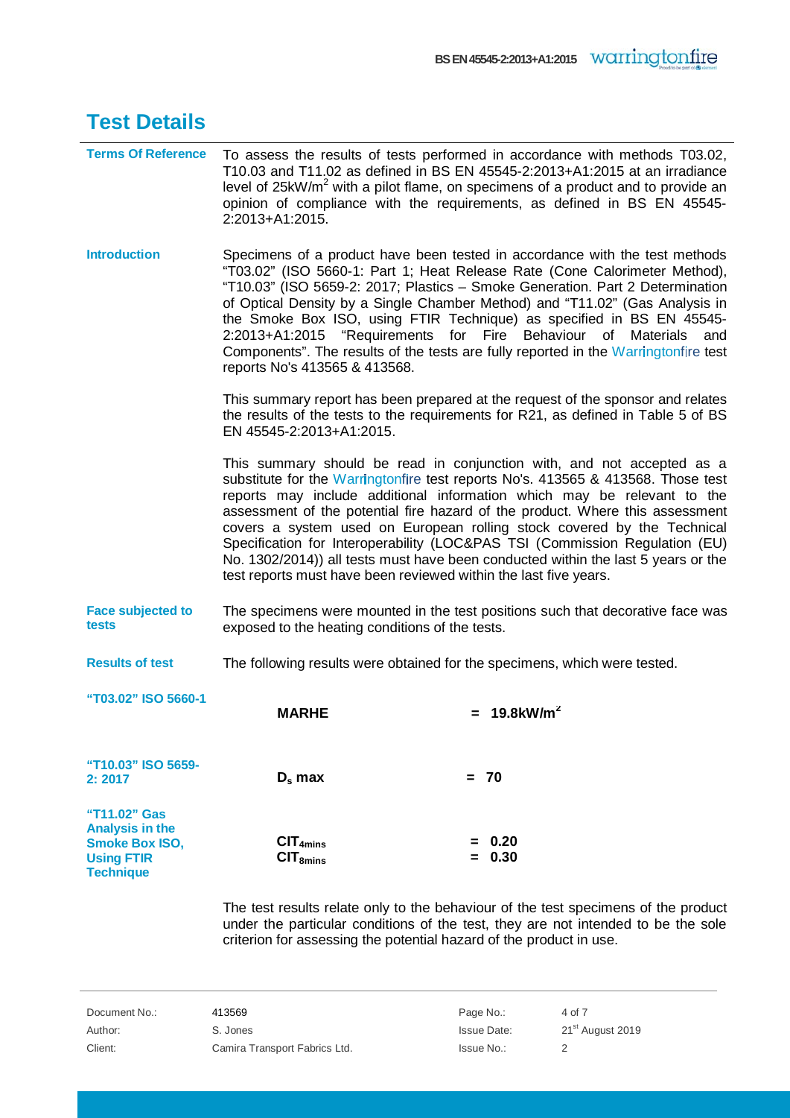<span id="page-3-0"></span>

| <b>Test Details</b>                                                                                      |                                                                           |                                                                                                                                                                                                                                                                                                                                                                                                                                                                                                                                                                                                                                           |
|----------------------------------------------------------------------------------------------------------|---------------------------------------------------------------------------|-------------------------------------------------------------------------------------------------------------------------------------------------------------------------------------------------------------------------------------------------------------------------------------------------------------------------------------------------------------------------------------------------------------------------------------------------------------------------------------------------------------------------------------------------------------------------------------------------------------------------------------------|
| <b>Terms Of Reference</b>                                                                                | 2:2013+A1:2015.                                                           | To assess the results of tests performed in accordance with methods T03.02,<br>T10.03 and T11.02 as defined in BS EN 45545-2:2013+A1:2015 at an irradiance<br>level of 25kW/m <sup>2</sup> with a pilot flame, on specimens of a product and to provide an<br>opinion of compliance with the requirements, as defined in BS EN 45545-                                                                                                                                                                                                                                                                                                     |
| <b>Introduction</b>                                                                                      | 2:2013+A1:2015<br>reports No's 413565 & 413568.                           | Specimens of a product have been tested in accordance with the test methods<br>"T03.02" (ISO 5660-1: Part 1; Heat Release Rate (Cone Calorimeter Method),<br>"T10.03" (ISO 5659-2: 2017; Plastics - Smoke Generation. Part 2 Determination<br>of Optical Density by a Single Chamber Method) and "T11.02" (Gas Analysis in<br>the Smoke Box ISO, using FTIR Technique) as specified in BS EN 45545-<br>Behaviour of Materials<br>"Requirements<br>for Fire<br>and<br>Components". The results of the tests are fully reported in the Warringtonfire test                                                                                  |
|                                                                                                          | EN 45545-2:2013+A1:2015.                                                  | This summary report has been prepared at the request of the sponsor and relates<br>the results of the tests to the requirements for R21, as defined in Table 5 of BS                                                                                                                                                                                                                                                                                                                                                                                                                                                                      |
|                                                                                                          |                                                                           | This summary should be read in conjunction with, and not accepted as a<br>substitute for the Warringtonfire test reports No's. 413565 & 413568. Those test<br>reports may include additional information which may be relevant to the<br>assessment of the potential fire hazard of the product. Where this assessment<br>covers a system used on European rolling stock covered by the Technical<br>Specification for Interoperability (LOC&PAS TSI (Commission Regulation (EU)<br>No. 1302/2014)) all tests must have been conducted within the last 5 years or the<br>test reports must have been reviewed within the last five years. |
| <b>Face subjected to</b><br>tests                                                                        | exposed to the heating conditions of the tests.                           | The specimens were mounted in the test positions such that decorative face was                                                                                                                                                                                                                                                                                                                                                                                                                                                                                                                                                            |
| <b>Results of test</b>                                                                                   | The following results were obtained for the specimens, which were tested. |                                                                                                                                                                                                                                                                                                                                                                                                                                                                                                                                                                                                                                           |
| "T03.02" ISO 5660-1                                                                                      | <b>MARHE</b>                                                              | = $19.8 \text{kW/m}^2$                                                                                                                                                                                                                                                                                                                                                                                                                                                                                                                                                                                                                    |
| "T10.03" ISO 5659-<br>2:2017                                                                             | $D_s$ max                                                                 | $= 70$                                                                                                                                                                                                                                                                                                                                                                                                                                                                                                                                                                                                                                    |
| "T11.02" Gas<br><b>Analysis in the</b><br><b>Smoke Box ISO,</b><br><b>Using FTIR</b><br><b>Technique</b> | CIT <sub>4mins</sub><br>CIT <sub>8mins</sub>                              | $= 0.20$<br>$= 0.30$                                                                                                                                                                                                                                                                                                                                                                                                                                                                                                                                                                                                                      |
|                                                                                                          |                                                                           | The test results relate only to the behaviour of the test specimens of the product                                                                                                                                                                                                                                                                                                                                                                                                                                                                                                                                                        |

The test results relate only to the behaviour of the test specimens of the product under the particular conditions of the test, they are not intended to be the sole criterion for assessing the potential hazard of the product in use.

| Document No.: | 413569                        | Page No.:          | 4 of 7                       |
|---------------|-------------------------------|--------------------|------------------------------|
| Author:       | S. Jones                      | <b>Issue Date:</b> | 21 <sup>st</sup> August 2019 |
| Client:       | Camira Transport Fabrics Ltd. | Issue No.:         |                              |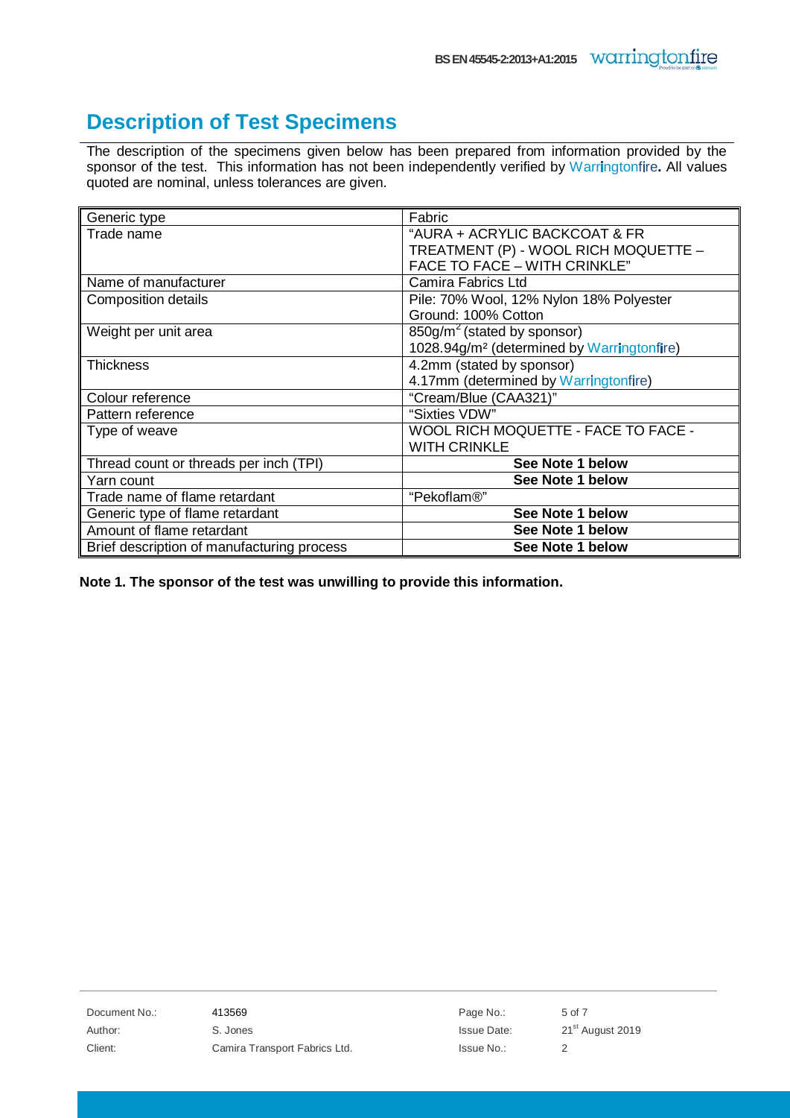#### <span id="page-4-0"></span>**Description of Test Specimens**

The description of the specimens given below has been prepared from information provided by the sponsor of the test. This information has not been independently verified by Warringtonfire. All values quoted are nominal, unless tolerances are given.

| Generic type                               | Fabric                                                 |
|--------------------------------------------|--------------------------------------------------------|
| Trade name                                 | "AURA + ACRYLIC BACKCOAT & FR                          |
|                                            | TREATMENT (P) - WOOL RICH MOQUETTE -                   |
|                                            | FACE TO FACE - WITH CRINKLE"                           |
| Name of manufacturer                       | Camira Fabrics Ltd                                     |
| <b>Composition details</b>                 | Pile: 70% Wool, 12% Nylon 18% Polyester                |
|                                            | Ground: 100% Cotton                                    |
| Weight per unit area                       | $850g/m2$ (stated by sponsor)                          |
|                                            | 1028.94g/m <sup>2</sup> (determined by Warringtonfire) |
| Thickness                                  | 4.2mm (stated by sponsor)                              |
|                                            | 4.17mm (determined by Warringtonfire)                  |
| Colour reference                           | "Cream/Blue (CAA321)"                                  |
| Pattern reference                          | "Sixties VDW"                                          |
| Type of weave                              | WOOL RICH MOQUETTE - FACE TO FACE -                    |
|                                            | <b>WITH CRINKLE</b>                                    |
| Thread count or threads per inch (TPI)     | See Note 1 below                                       |
| Yarn count                                 | See Note 1 below                                       |
| Trade name of flame retardant              | "Pekoflam <sup>®</sup> "                               |
| Generic type of flame retardant            | See Note 1 below                                       |
| Amount of flame retardant                  | See Note 1 below                                       |
| Brief description of manufacturing process | See Note 1 below                                       |

<span id="page-4-1"></span>**Note 1. The sponsor of the test was unwilling to provide this information.**

Document No.: 413569 And 13569 Page No.: 5 of 7 Author: S. Jones S. S. Solid Contract Author: 21<sup>st</sup> August 2019 Client: Camira Transport Fabrics Ltd. Issue No.: 2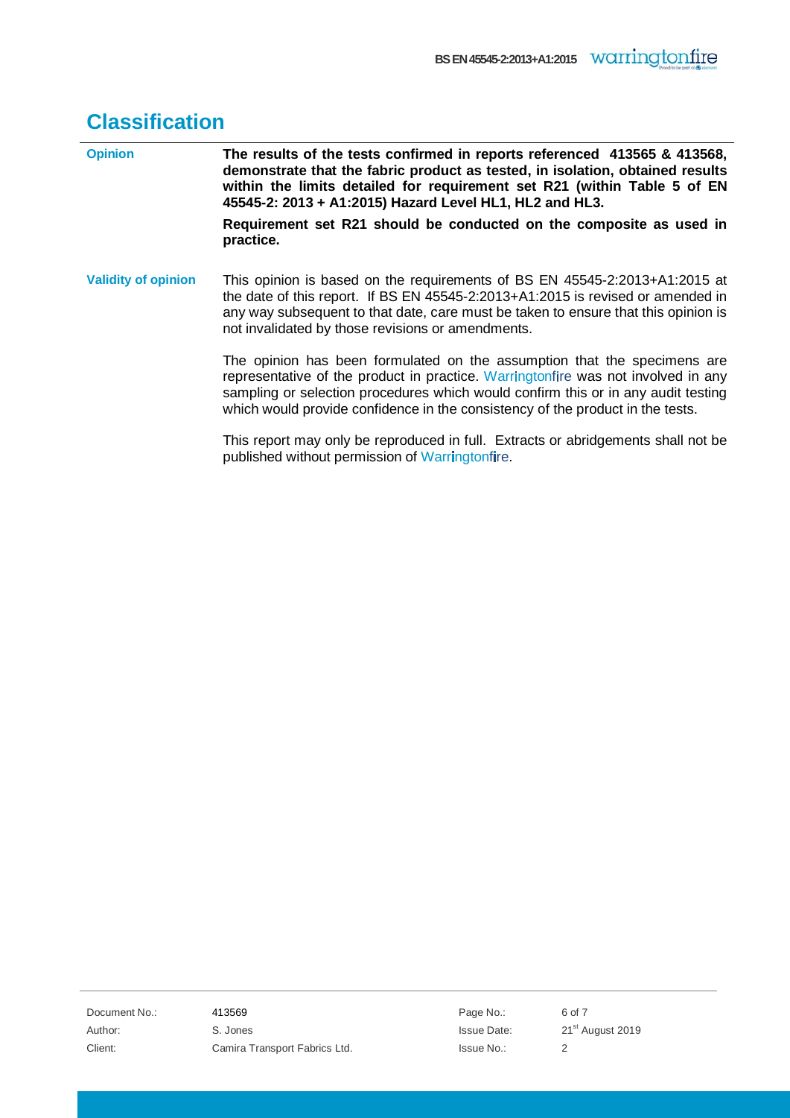## **Classification**

| <b>Opinion</b>             | The results of the tests confirmed in reports referenced 413565 & 413568,<br>demonstrate that the fabric product as tested, in isolation, obtained results<br>within the limits detailed for requirement set R21 (within Table 5 of EN<br>45545-2: 2013 + A1:2015) Hazard Level HL1, HL2 and HL3.                                    |  |
|----------------------------|--------------------------------------------------------------------------------------------------------------------------------------------------------------------------------------------------------------------------------------------------------------------------------------------------------------------------------------|--|
|                            | Requirement set R21 should be conducted on the composite as used in<br>practice.                                                                                                                                                                                                                                                     |  |
| <b>Validity of opinion</b> | This opinion is based on the requirements of BS EN 45545-2:2013+A1:2015 at<br>the date of this report. If BS EN 45545-2:2013+A1:2015 is revised or amended in<br>any way subsequent to that date, care must be taken to ensure that this opinion is<br>not invalidated by those revisions or amendments.                             |  |
|                            | The opinion has been formulated on the assumption that the specimens are<br>representative of the product in practice. Warringtonfire was not involved in any<br>sampling or selection procedures which would confirm this or in any audit testing<br>which would provide confidence in the consistency of the product in the tests. |  |
|                            | This report may only be reproduced in full. Extracts or abridgements shall not be<br>published without permission of Warringtonfire.                                                                                                                                                                                                 |  |

Document No.: 413569 413569 Page No.: 6 of 7 Author: S. Jones S. Jones S. Jones S. Jones S. Jones S. Jones S. Jones S. Jones S. Jones S. Jones S. Jones S. Jones S. Jones S. Jones S. Jones S. Jones S. Jones S. Jones S. Jones S. Jones S. Jones S. Jones S. Jones S. Jone Client: Camira Transport Fabrics Ltd. Issue No.: 2